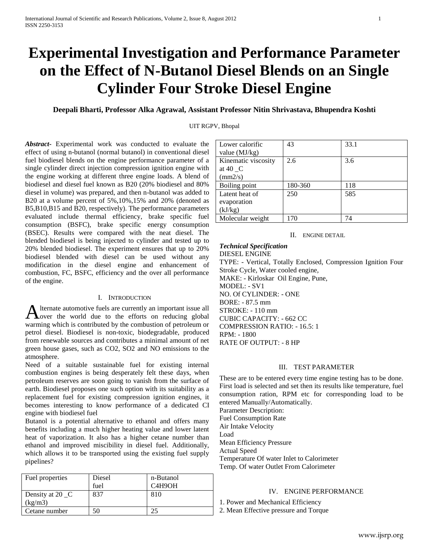# **Experimental Investigation and Performance Parameter on the Effect of N-Butanol Diesel Blends on an Single Cylinder Four Stroke Diesel Engine**

**Deepali Bharti, Professor Alka Agrawal, Assistant Professor Nitin Shrivastava, Bhupendra Koshti**

## UIT RGPV, Bhopal

*Abstract***-** Experimental work was conducted to evaluate the effect of using n-butanol (normal butanol) in conventional diesel fuel biodiesel blends on the engine performance parameter of a single cylinder direct injection compression ignition engine with the engine working at different three engine loads. A blend of biodiesel and diesel fuel known as B20 (20% biodiesel and 80% diesel in volume) was prepared, and then n-butanol was added to B20 at a volume percent of 5%,10%,15% and 20% (denoted as B5,B10,B15 and B20, respectively). The performance parameters evaluated include thermal efficiency, brake specific fuel consumption (BSFC), brake specific energy consumption (BSEC). Results were compared with the neat diesel. The blended biodiesel is being injected to cylinder and tested up to 20% blended biodiesel. The experiment ensures that up to 20% biodiesel blended with diesel can be used without any modification in the diesel engine and enhancement of combustion, FC, BSFC, efficiency and the over all performance of the engine.

#### I. INTRODUCTION

lternate automotive fuels are currently an important issue all A lternate automotive fuels are currently an important issue all over the world due to the efforts on reducing global warming which is contributed by the combustion of petroleum or petrol diesel. Biodiesel is non-toxic, biodegradable, produced from renewable sources and contributes a minimal amount of net green house gases, such as CO2, SO2 and NO emissions to the atmosphere.

Need of a suitable sustainable fuel for existing internal combustion engines is being desperately felt these days, when petroleum reserves are soon going to vanish from the surface of earth. Biodiesel proposes one such option with its suitability as a replacement fuel for existing compression ignition engines, it becomes interesting to know performance of a dedicated CI engine with biodiesel fuel

Butanol is a potential alternative to ethanol and offers many benefits including a much higher heating value and lower latent heat of vaporization. It also has a higher cetane number than ethanol and improved miscibility in diesel fuel. Additionally, which allows it to be transported using the existing fuel supply pipelines?

| Fuel properties  | Diesel | n-Butanol                        |
|------------------|--------|----------------------------------|
|                  | fuel   | C <sub>4</sub> H <sub>9</sub> OH |
| Density at 20 _C | 837    | 810                              |
| (kg/m3)          |        |                                  |
| Cetane number    |        |                                  |

| Lower calorific     | 43      | 33.1 |
|---------------------|---------|------|
| value $(MJ/kg)$     |         |      |
| Kinematic viscosity | 2.6     | 3.6  |
| at 40 $\,$ C        |         |      |
| $\text{(mm2/s)}$    |         |      |
| Boiling point       | 180-360 | 118  |
| Latent heat of      | 250     | 585  |
| evaporation         |         |      |
| (kJ/kg)             |         |      |
| Molecular weight    | 170     | 74   |

## II. ENGINE DETAIL

*Technical Specification* DIESEL ENGINE TYPE: - Vertical, Totally Enclosed, Compression Ignition Four Stroke Cycle, Water cooled engine, MAKE: - Kirloskar Oil Engine, Pune, MODEL: - SV1 NO. Of CYLINDER: - ONE BORE: - 87.5 mm STROKE: - 110 mm CUBIC CAPACITY: - 662 CC COMPRESSION RATIO: - 16.5: 1 RPM: - 1800

RATE OF OUTPUT: - 8 HP

## III. TEST PARAMETER

These are to be entered every time engine testing has to be done. First load is selected and set then its results like temperature, fuel consumption ration, RPM etc for corresponding load to be entered Manually/Automatically.

Parameter Description: Fuel Consumption Rate Air Intake Velocity Load Mean Efficiency Pressure Actual Speed Temperature Of water Inlet to Calorimeter Temp. Of water Outlet From Calorimeter

# IV. ENGINE PERFORMANCE

1. Power and Mechanical Efficiency

2. Mean Effective pressure and Torque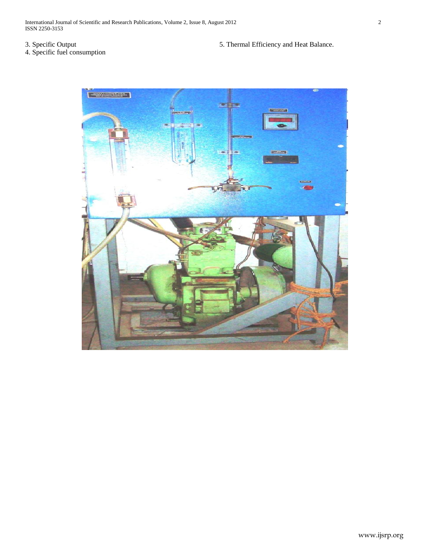# 3. Specific Output

4. Specific fuel consumption

5. Thermal Efficiency and Heat Balance.

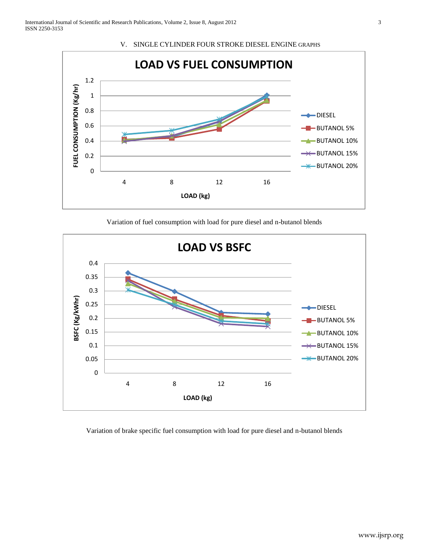

V. SINGLE CYLINDER FOUR STROKE DIESEL ENGINE GRAPHS

Variation of fuel consumption with load for pure diesel and n-butanol blends



Variation of brake specific fuel consumption with load for pure diesel and n-butanol blends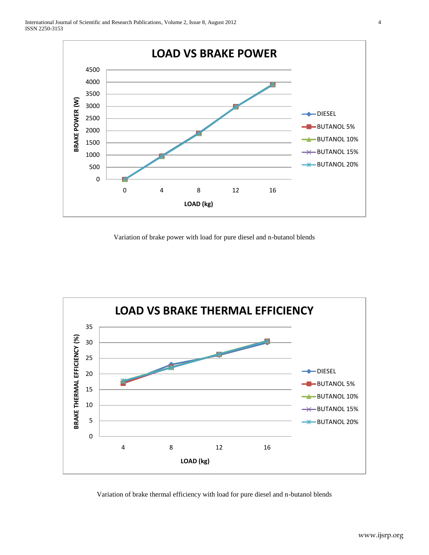

Variation of brake power with load for pure diesel and n-butanol blends



Variation of brake thermal efficiency with load for pure diesel and n-butanol blends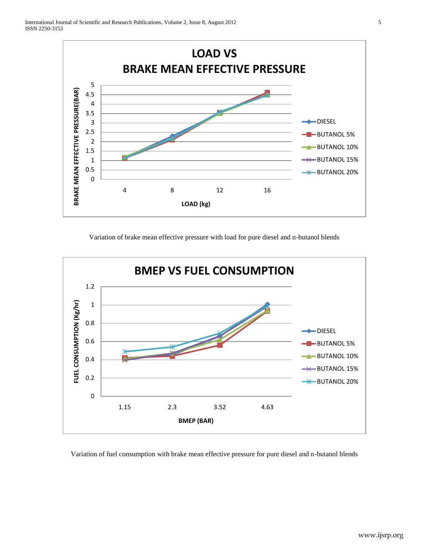

Variation of brake mean effective pressure with load for pure diesel and n-butanol blends



Variation of fuel consumption with brake mean effective pressure for pure diesel and n-butanol blends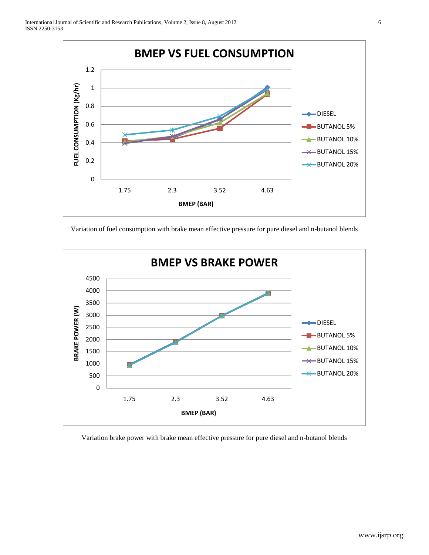

Variation of fuel consumption with brake mean effective pressure for pure diesel and n-butanol blends



Variation brake power with brake mean effective pressure for pure diesel and n-butanol blends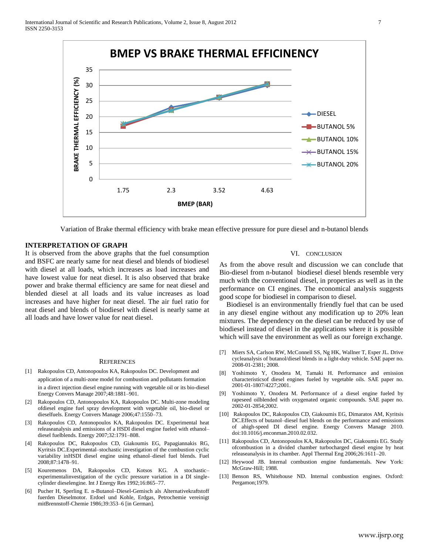

Variation of Brake thermal efficiency with brake mean effective pressure for pure diesel and n-butanol blends

# **INTERPRETATION OF GRAPH**

It is observed from the above graphs that the fuel consumption and BSFC are nearly same for neat diesel and blends of biodiesel with diesel at all loads, which increases as load increases and have lowest value for neat diesel. It is also observed that brake power and brake thermal efficiency are same for neat diesel and blended diesel at all loads and its value increases as load increases and have higher for neat diesel. The air fuel ratio for neat diesel and blends of biodiesel with diesel is nearly same at all loads and have lower value for neat diesel.

#### **REFERENCES**

- [1] Rakopoulos CD, Antonopoulos KA, Rakopoulos DC. Development and application of a multi-zone model for combustion and pollutants formation in a direct injection diesel engine running with vegetable oil or its bio-diesel Energy Convers Manage 2007;48:1881–901.
- [2] Rakopoulos CD, Antonopoulos KA, Rakopoulos DC. Multi-zone modeling ofdiesel engine fuel spray development with vegetable oil, bio-diesel or dieselfuels. Energy Convers Manage 2006;47:1550–73.
- [3] Rakopoulos CD, Antonopoulos KA, Rakopoulos DC. Experimental heat releaseanalysis and emissions of a HSDI diesel engine fueled with ethanol– diesel fuelblends. Energy 2007;32:1791–808.
- [4] Rakopoulos DC, Rakopoulos CD, Giakoumis EG, Papagiannakis RG, Kyritsis DC.Experimental–stochastic investigation of the combustion cyclic variability inHSDI diesel engine using ethanol–diesel fuel blends. Fuel 2008;87:1478–91.
- [5] Kouremenos DA, Rakopoulos CD, Kotsos KG. A stochastic– experimentalinvestigation of the cyclic pressure variation in a DI singlecylinder dieselengine. Int J Energy Res 1992;16:865–77.
- [6] Pucher H, Sperling E. n-Butanol–Diesel-Gemisch als Alternativekraftstoff fuerden Dieselmotor. Erdoel und Kohle, Erdgas, Petrochemie vereinigt mitBrennstoff-Chemie 1986;39:353–6 [in German].

#### VI. CONCLUSION

As from the above result and discussion we can conclude that Bio-diesel from n-butanol biodiesel diesel blends resemble very much with the conventional diesel, in properties as well as in the performance on CI engines. The economical analysis suggests good scope for biodiesel in comparison to diesel.

 Biodiesel is an environmentally friendly fuel that can be used in any diesel engine without any modification up to 20% lean mixtures. The dependency on the diesel can be reduced by use of biodiesel instead of diesel in the applications where it is possible which will save the environment as well as our foreign exchange.

- [7] Miers SA, Carlson RW, McConnell SS, Ng HK, Wallner T, Esper JL. Drive cycleanalysis of butanol/diesel blends in a light-duty vehicle. SAE paper no. 2008-01-2381; 2008.
- [8] Yoshimoto Y, Onodera M, Tamaki H. Performance and emission characteristicsof diesel engines fueled by vegetable oils. SAE paper no. 2001-01-1807/4227;2001.
- [9] Yoshimoto Y, Onodera M. Performance of a diesel engine fueled by rapeseed oilblended with oxygenated organic compounds. SAE paper no. 2002-01-2854;2002.
- [10] Rakopoulos DC, Rakopoulos CD, Giakoumis EG, Dimaratos AM, Kyritsis DC.Effects of butanol–diesel fuel blends on the performance and emissions of ahigh-speed DI diesel engine. Energy Convers Manage 2010. doi:10.1016/j.enconman.2010.02.032.
- [11] Rakopoulos CD, Antonopoulos KA, Rakopoulos DC, Giakoumis EG. Study ofcombustion in a divided chamber turbocharged diesel engine by heat releaseanalysis in its chamber. Appl Thermal Eng 2006;26:1611–20.
- [12] Heywood JB. Internal combustion engine fundamentals. New York: McGraw-Hill; 1988.
- [13] Benson RS, Whitehouse ND. Internal combustion engines. Oxford: Pergamon;1979.